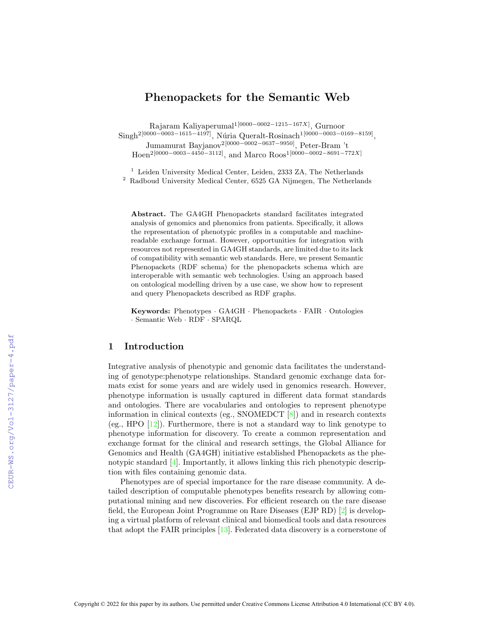# Phenopackets for the Semantic Web

Rajaram Kaliyaperumal1[0000−0002−1215−167X] , Gurnoor  $\mathrm{Singh^{2[0000-0003-1615-4197]}},$  Núria Queralt-Rosinach<sup>1[0000–0003–0169–8159]</sup>, Jumamurat Bayjanov2[0000−0002−0637−9950], Peter-Bram 't Hoen<sup>2</sup>[0000–0003–4450<sup>-3112]</sup>, and Marco Roos<sup>1</sup>[0000–0002–8691–772X]

<sup>1</sup> Leiden University Medical Center, Leiden, 2333 ZA, The Netherlands  $^{\rm 2}$  Radboud University Medical Center, 6525 GA Nijmegen, The Netherlands

Abstract. The GA4GH Phenopackets standard facilitates integrated analysis of genomics and phenomics from patients. Specifically, it allows the representation of phenotypic profiles in a computable and machinereadable exchange format. However, opportunities for integration with resources not represented in GA4GH standards, are limited due to its lack of compatibility with semantic web standards. Here, we present Semantic Phenopackets (RDF schema) for the phenopackets schema which are interoperable with semantic web technologies. Using an approach based on ontological modelling driven by a use case, we show how to represent and query Phenopackets described as RDF graphs.

Keywords: Phenotypes · GA4GH · Phenopackets · FAIR · Ontologies · Semantic Web · RDF · SPARQL

## 1 Introduction

Integrative analysis of phenotypic and genomic data facilitates the understanding of genotype:phenotype relationships. Standard genomic exchange data formats exist for some years and are widely used in genomics research. However, phenotype information is usually captured in different data format standards and ontologies. There are vocabularies and ontologies to represent phenotype information in clinical contexts (eg., SNOMEDCT [\[8\]](#page--1-0)) and in research contexts (eg., HPO  $[12]$ ). Furthermore, there is not a standard way to link genotype to phenotype information for discovery. To create a common representation and exchange format for the clinical and research settings, the Global Alliance for Genomics and Health (GA4GH) initiative established Phenopackets as the phenotypic standard [\[4\]](#page--1-2). Importantly, it allows linking this rich phenotypic description with files containing genomic data.

Phenotypes are of special importance for the rare disease community. A detailed description of computable phenotypes benefits research by allowing computational mining and new discoveries. For efficient research on the rare disease field, the European Joint Programme on Rare Diseases (EJP RD) [\[2\]](#page--1-3) is developing a virtual platform of relevant clinical and biomedical tools and data resources that adopt the FAIR principles [\[13\]](#page--1-4). Federated data discovery is a cornerstone of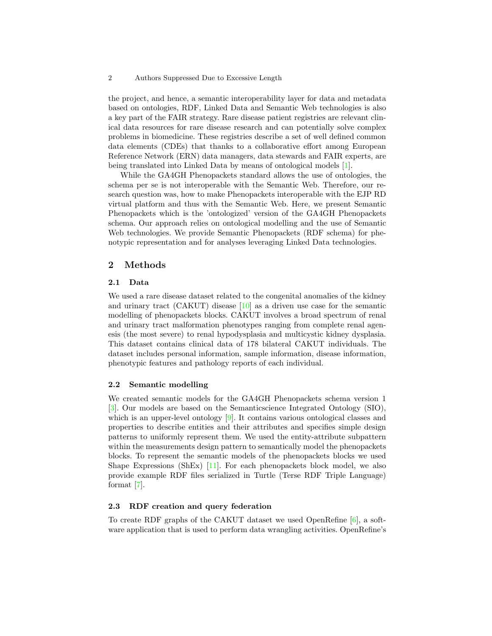#### 2 Authors Suppressed Due to Excessive Length

the project, and hence, a semantic interoperability layer for data and metadata based on ontologies, RDF, Linked Data and Semantic Web technologies is also a key part of the FAIR strategy. Rare disease patient registries are relevant clinical data resources for rare disease research and can potentially solve complex problems in biomedicine. These registries describe a set of well defined common data elements (CDEs) that thanks to a collaborative effort among European Reference Network (ERN) data managers, data stewards and FAIR experts, are being translated into Linked Data by means of ontological models [\[1\]](#page-4-0).

While the GA4GH Phenopackets standard allows the use of ontologies, the schema per se is not interoperable with the Semantic Web. Therefore, our research question was, how to make Phenopackets interoperable with the EJP RD virtual platform and thus with the Semantic Web. Here, we present Semantic Phenopackets which is the 'ontologized' version of the GA4GH Phenopackets schema. Our approach relies on ontological modelling and the use of Semantic Web technologies. We provide Semantic Phenopackets (RDF schema) for phenotypic representation and for analyses leveraging Linked Data technologies.

## 2 Methods

### 2.1 Data

We used a rare disease dataset related to the congenital anomalies of the kidney and urinary tract (CAKUT) disease [\[10\]](#page-4-1) as a driven use case for the semantic modelling of phenopackets blocks. CAKUT involves a broad spectrum of renal and urinary tract malformation phenotypes ranging from complete renal agenesis (the most severe) to renal hypodysplasia and multicystic kidney dysplasia. This dataset contains clinical data of 178 bilateral CAKUT individuals. The dataset includes personal information, sample information, disease information, phenotypic features and pathology reports of each individual.

### 2.2 Semantic modelling

We created semantic models for the GA4GH Phenopackets schema version 1 [\[3\]](#page-4-2). Our models are based on the Semanticscience Integrated Ontology (SIO), which is an upper-level ontology [\[9\]](#page-4-3). It contains various ontological classes and properties to describe entities and their attributes and specifies simple design patterns to uniformly represent them. We used the entity-attribute subpattern within the measurements design pattern to semantically model the phenopackets blocks. To represent the semantic models of the phenopackets blocks we used Shape Expressions (ShEx)  $\vert$ 11. For each phenopackets block model, we also provide example RDF files serialized in Turtle (Terse RDF Triple Language) format [\[7\]](#page-4-5).

#### 2.3 RDF creation and query federation

To create RDF graphs of the CAKUT dataset we used OpenRefine [\[6\]](#page-4-6), a software application that is used to perform data wrangling activities. OpenRefine's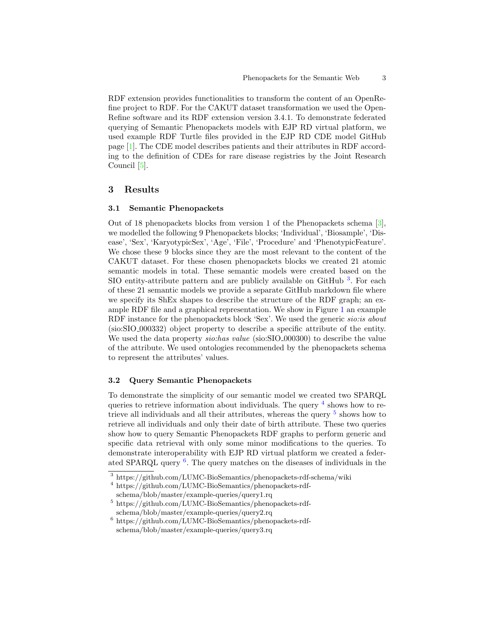RDF extension provides functionalities to transform the content of an OpenRefine project to RDF. For the CAKUT dataset transformation we used the Open-Refine software and its RDF extension version 3.4.1. To demonstrate federated querying of Semantic Phenopackets models with EJP RD virtual platform, we used example RDF Turtle files provided in the EJP RD CDE model GitHub page [\[1\]](#page-4-0). The CDE model describes patients and their attributes in RDF according to the definition of CDEs for rare disease registries by the Joint Research Council [\[5\]](#page-4-7).

## 3 Results

### 3.1 Semantic Phenopackets

Out of 18 phenopackets blocks from version 1 of the Phenopackets schema [\[3\]](#page-4-2), we modelled the following 9 Phenopackets blocks; 'Individual', 'Biosample', 'Disease', 'Sex', 'KaryotypicSex', 'Age', 'File', 'Procedure' and 'PhenotypicFeature'. We chose these 9 blocks since they are the most relevant to the content of the CAKUT dataset. For these chosen phenopackets blocks we created 21 atomic semantic models in total. These semantic models were created based on the SIO entity-attribute pattern and are publicly available on GitHub<sup>[3](#page-2-0)</sup>. For each of these 21 semantic models we provide a separate GitHub markdown file where we specify its ShEx shapes to describe the structure of the RDF graph; an example RDF file and a graphical representation. We show in Figure [1](#page-3-0) an example RDF instance for the phenopackets block 'Sex'. We used the generic *sio:is about* (sio:SIO 000332) object property to describe a specific attribute of the entity. We used the data property *sio:has value* (sio:SIO<sub>-000300)</sub> to describe the value of the attribute. We used ontologies recommended by the phenopackets schema to represent the attributes' values.

### 3.2 Query Semantic Phenopackets

To demonstrate the simplicity of our semantic model we created two SPARQL queries to retrieve information about individuals. The query <sup>[4](#page-2-1)</sup> shows how to retrieve all individuals and all their attributes, whereas the query  $^5$  $^5$  shows how to retrieve all individuals and only their date of birth attribute. These two queries show how to query Semantic Phenopackets RDF graphs to perform generic and specific data retrieval with only some minor modifications to the queries. To demonstrate interoperability with EJP RD virtual platform we created a feder-ated SPARQL query <sup>[6](#page-2-3)</sup>. The query matches on the diseases of individuals in the

<span id="page-2-0"></span><sup>3</sup> https://github.com/LUMC-BioSemantics/phenopackets-rdf-schema/wiki

<span id="page-2-1"></span><sup>4</sup> https://github.com/LUMC-BioSemantics/phenopackets-rdf-

<span id="page-2-2"></span>schema/blob/master/example-queries/query1.rq  $^5$ https://github.com/LUMC-BioSemantics/phenopackets-rdf-

schema/blob/master/example-queries/query2.rq

<span id="page-2-3"></span> $^6$ https://github.com/LUMC-BioSemantics/phenopackets-rdfschema/blob/master/example-queries/query3.rq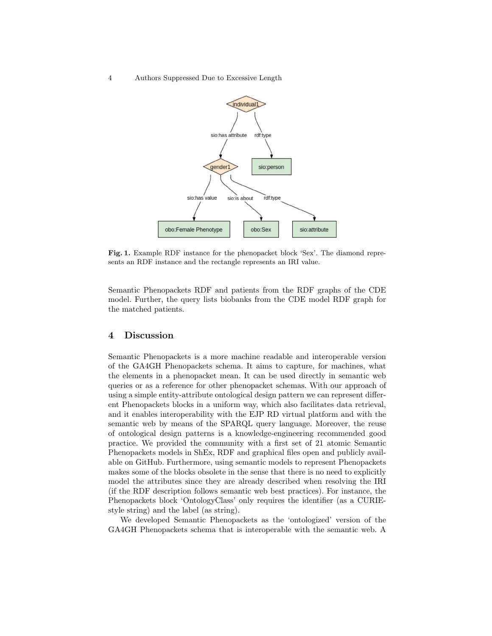#### 4 Authors Suppressed Due to Excessive Length



<span id="page-3-0"></span>Fig. 1. Example RDF instance for the phenopacket block 'Sex'. The diamond represents an RDF instance and the rectangle represents an IRI value.

Semantic Phenopackets RDF and patients from the RDF graphs of the CDE model. Further, the query lists biobanks from the CDE model RDF graph for the matched patients.

## 4 Discussion

Semantic Phenopackets is a more machine readable and interoperable version of the GA4GH Phenopackets schema. It aims to capture, for machines, what the elements in a phenopacket mean. It can be used directly in semantic web queries or as a reference for other phenopacket schemas. With our approach of using a simple entity-attribute ontological design pattern we can represent different Phenopackets blocks in a uniform way, which also facilitates data retrieval, and it enables interoperability with the EJP RD virtual platform and with the semantic web by means of the SPARQL query language. Moreover, the reuse of ontological design patterns is a knowledge-engineering recommended good practice. We provided the community with a first set of 21 atomic Semantic Phenopackets models in ShEx, RDF and graphical files open and publicly available on GitHub. Furthermore, using semantic models to represent Phenopackets makes some of the blocks obsolete in the sense that there is no need to explicitly model the attributes since they are already described when resolving the IRI (if the RDF description follows semantic web best practices). For instance, the Phenopackets block 'OntologyClass' only requires the identifier (as a CURIEstyle string) and the label (as string).

We developed Semantic Phenopackets as the 'ontologized' version of the GA4GH Phenopackets schema that is interoperable with the semantic web. A